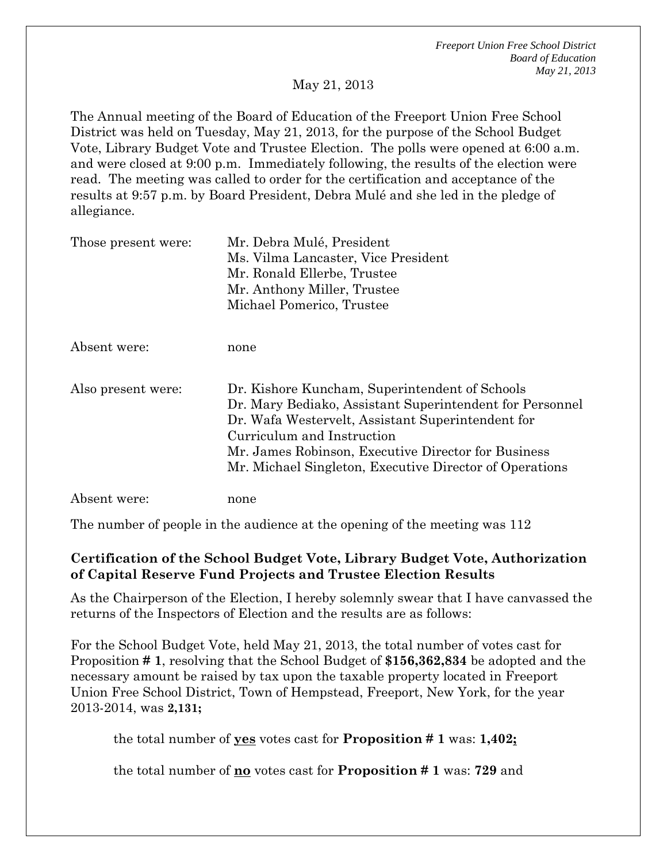*Freeport Union Free School District Board of Education May 21, 2013* 

May 21, 2013

The Annual meeting of the Board of Education of the Freeport Union Free School District was held on Tuesday, May 21, 2013, for the purpose of the School Budget Vote, Library Budget Vote and Trustee Election. The polls were opened at 6:00 a.m. and were closed at 9:00 p.m. Immediately following, the results of the election were read. The meeting was called to order for the certification and acceptance of the results at 9:57 p.m. by Board President, Debra Mulé and she led in the pledge of allegiance.

| Those present were: | Mr. Debra Mulé, President                                |
|---------------------|----------------------------------------------------------|
|                     | Ms. Vilma Lancaster, Vice President                      |
|                     | Mr. Ronald Ellerbe, Trustee                              |
|                     | Mr. Anthony Miller, Trustee                              |
|                     | Michael Pomerico, Trustee                                |
|                     |                                                          |
| Absent were:        | none                                                     |
| Also present were:  | Dr. Kishore Kuncham, Superintendent of Schools           |
|                     | Dr. Mary Bediako, Assistant Superintendent for Personnel |
|                     | Dr. Wafa Westervelt, Assistant Superintendent for        |
|                     | Curriculum and Instruction                               |
|                     | Mr. James Robinson, Executive Director for Business      |
|                     | Mr. Michael Singleton, Executive Director of Operations  |
| Absent were:        | none                                                     |

The number of people in the audience at the opening of the meeting was 112

### **Certification of the School Budget Vote, Library Budget Vote, Authorization of Capital Reserve Fund Projects and Trustee Election Results**

As the Chairperson of the Election, I hereby solemnly swear that I have canvassed the returns of the Inspectors of Election and the results are as follows:

For the School Budget Vote, held May 21, 2013, the total number of votes cast for Proposition **# 1**, resolving that the School Budget of **\$156,362,834** be adopted and the necessary amount be raised by tax upon the taxable property located in Freeport Union Free School District, Town of Hempstead, Freeport, New York, for the year 2013-2014, was **2,131;** 

the total number of **yes** votes cast for **Proposition # 1** was: **1,402;** 

the total number of **no** votes cast for **Proposition # 1** was: **729** and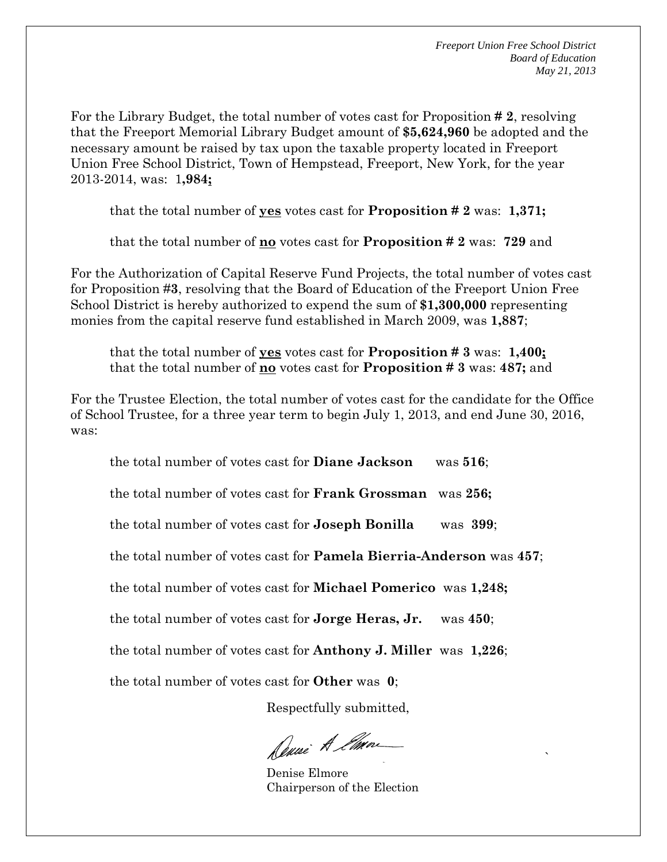For the Library Budget, the total number of votes cast for Proposition **# 2**, resolving that the Freeport Memorial Library Budget amount of **\$5,624,960** be adopted and the necessary amount be raised by tax upon the taxable property located in Freeport Union Free School District, Town of Hempstead, Freeport, New York, for the year 2013-2014, was: 1**,984;** 

that the total number of **yes** votes cast for **Proposition # 2** was: **1,371;** 

that the total number of **no** votes cast for **Proposition # 2** was: **729** and

For the Authorization of Capital Reserve Fund Projects, the total number of votes cast for Proposition #**3**, resolving that the Board of Education of the Freeport Union Free School District is hereby authorized to expend the sum of **\$1,300,000** representing monies from the capital reserve fund established in March 2009, was **1,887**;

that the total number of **yes** votes cast for **Proposition # 3** was: **1,400;**  that the total number of **no** votes cast for **Proposition # 3** was: **487;** and

For the Trustee Election, the total number of votes cast for the candidate for the Office of School Trustee, for a three year term to begin July 1, 2013, and end June 30, 2016, was:

the total number of votes cast for **Diane Jackson** was **516**; the total number of votes cast for **Frank Grossman** was **256;**  the total number of votes cast for **Joseph Bonilla** was **399**; the total number of votes cast for **Pamela Bierria-Anderson** was **457**; the total number of votes cast for **Michael Pomerico** was **1,248;**  the total number of votes cast for **Jorge Heras, Jr.** was **450**; the total number of votes cast for **Anthony J. Miller** was **1,226**; the total number of votes cast for **Other** was **0**;

Respectfully submitted,

Denie A Ema

the contract of the contract of the contract of the contract of the contract of the contract of the contract o<br>The contract of the contract of the contract of the contract of the contract of the contract of the contract o Denise Elmore Chairperson of the Election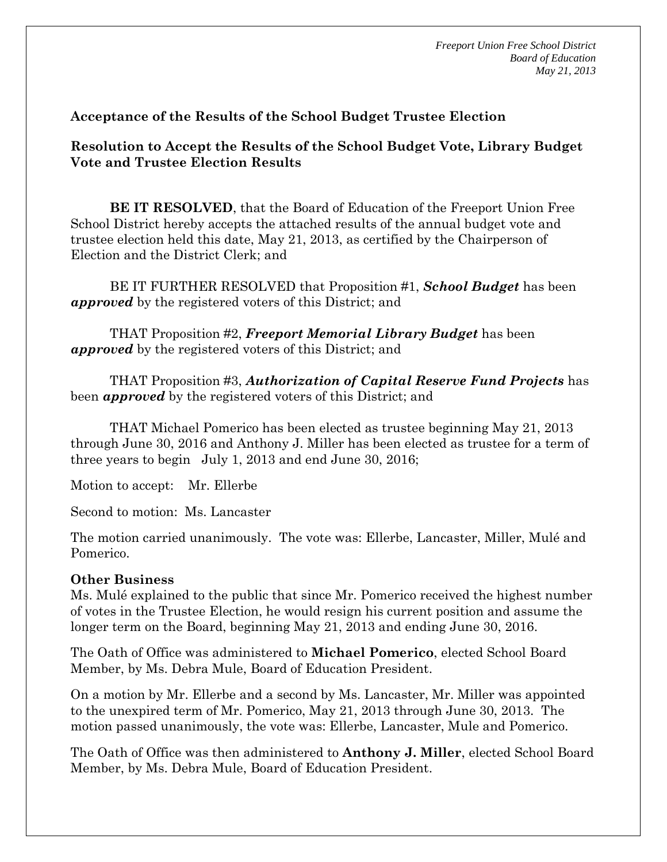*Freeport Union Free School District Board of Education May 21, 2013* 

### **Acceptance of the Results of the School Budget Trustee Election**

**Resolution to Accept the Results of the School Budget Vote, Library Budget Vote and Trustee Election Results**

**BE IT RESOLVED**, that the Board of Education of the Freeport Union Free School District hereby accepts the attached results of the annual budget vote and trustee election held this date, May 21, 2013, as certified by the Chairperson of Election and the District Clerk; and

 BE IT FURTHER RESOLVED that Proposition #1, *School Budget* has been *approved* by the registered voters of this District; and

 THAT Proposition #2, *Freeport Memorial Library Budget* has been *approved* by the registered voters of this District; and

 THAT Proposition #3, *Authorization of Capital Reserve Fund Projects* has been *approved* by the registered voters of this District; and

 THAT Michael Pomerico has been elected as trustee beginning May 21, 2013 through June 30, 2016 and Anthony J. Miller has been elected as trustee for a term of three years to begin July 1, 2013 and end June 30, 2016;

Motion to accept: Mr. Ellerbe

Second to motion: Ms. Lancaster

The motion carried unanimously. The vote was: Ellerbe, Lancaster, Miller, Mulé and Pomerico.

#### **Other Business**

Ms. Mulé explained to the public that since Mr. Pomerico received the highest number of votes in the Trustee Election, he would resign his current position and assume the longer term on the Board, beginning May 21, 2013 and ending June 30, 2016.

The Oath of Office was administered to **Michael Pomerico**, elected School Board Member, by Ms. Debra Mule, Board of Education President.

On a motion by Mr. Ellerbe and a second by Ms. Lancaster, Mr. Miller was appointed to the unexpired term of Mr. Pomerico, May 21, 2013 through June 30, 2013. The motion passed unanimously, the vote was: Ellerbe, Lancaster, Mule and Pomerico.

The Oath of Office was then administered to **Anthony J. Miller**, elected School Board Member, by Ms. Debra Mule, Board of Education President.